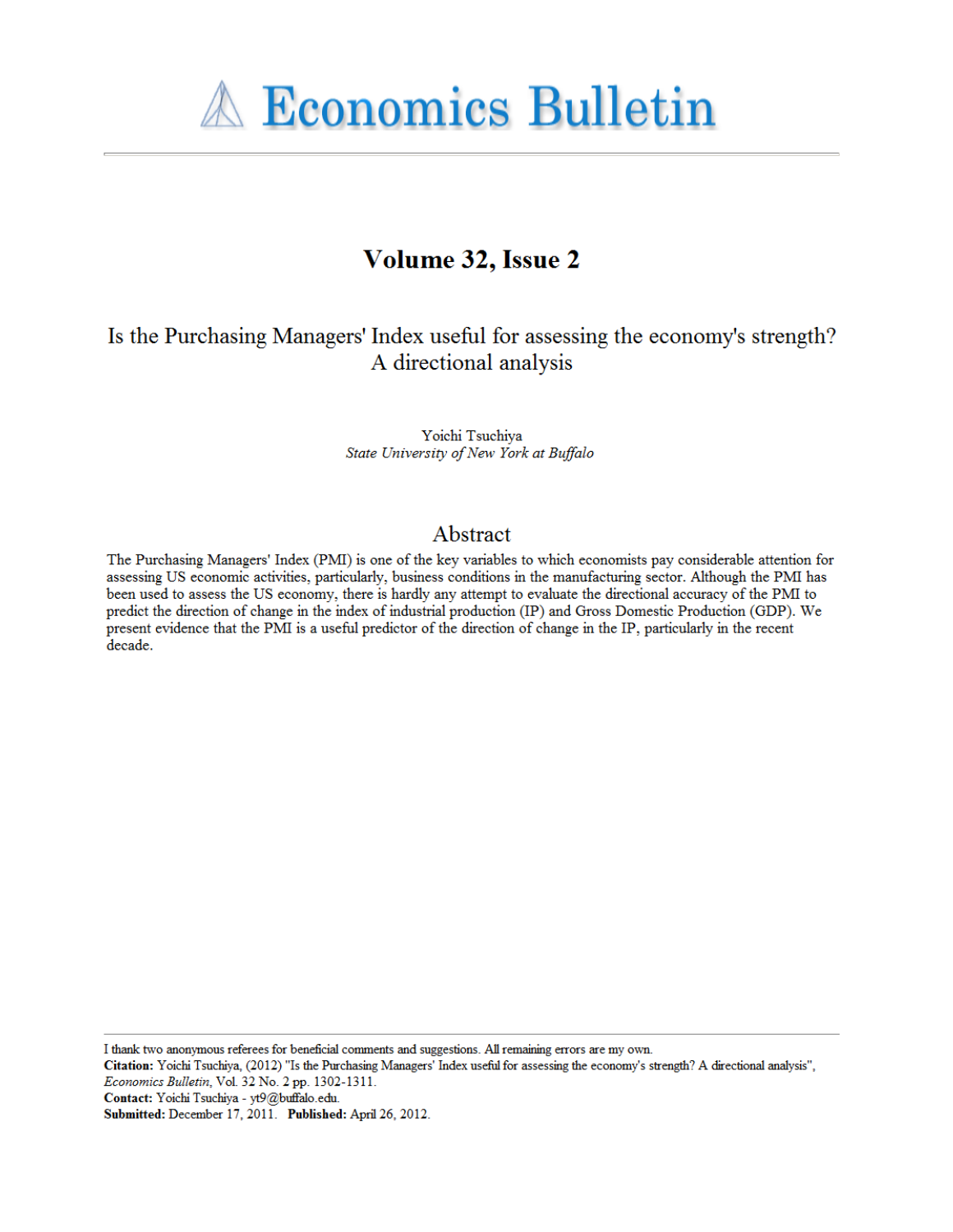

# Volume 32, Issue 2

## Is the Purchasing Managers' Index useful for assessing the economy's strength? A directional analysis

Yoichi Tsuchiya State University of New York at Buffalo

### Abstract

The Purchasing Managers' Index (PMI) is one of the key variables to which economists pay considerable attention for assessing US economic activities, particularly, business conditions in the manufacturing sector. Although the PMI has been used to assess the US economy, there is hardly any attempt to evaluate the directional accuracy of the PMI to predict the direction of change in the index of industrial production (IP) and Gross Domestic Production (GDP). We present evidence that the PMI is a useful predictor of the direction of change in the IP, particularly in the recent decade.

I thank two anonymous referees for beneficial comments and suggestions. All remaining errors are my own.

Citation: Yoichi Tsuchiya, (2012) "Is the Purchasing Managers' Index useful for assessing the economy's strength? A directional analysis", Economics Bulletin, Vol. 32 No. 2 pp. 1302-1311.

Contact: Yoichi Tsuchiya - yt9@buffalo.edu.

Submitted: December 17, 2011. Published: April 26, 2012.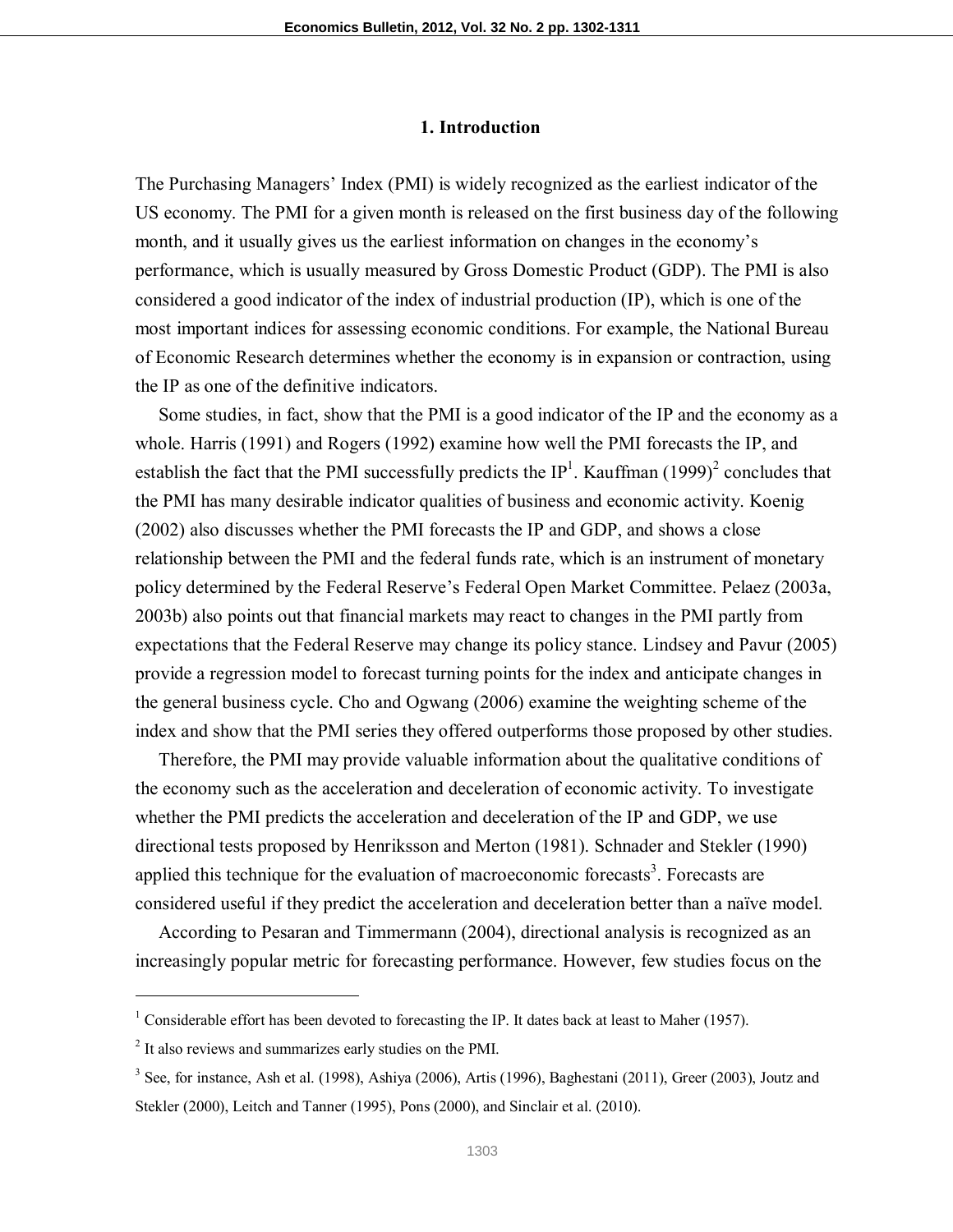#### **1. Introduction**

The Purchasing Managers' Index (PMI) is widely recognized as the earliest indicator of the US economy. The PMI for a given month is released on the first business day of the following month, and it usually gives us the earliest information on changes in the economy's performance, which is usually measured by Gross Domestic Product (GDP). The PMI is also considered a good indicator of the index of industrial production (IP), which is one of the most important indices for assessing economic conditions. For example, the National Bureau of Economic Research determines whether the economy is in expansion or contraction, using the IP as one of the definitive indicators.

 Some studies, in fact, show that the PMI is a good indicator of the IP and the economy as a whole. Harris (1991) and Rogers (1992) examine how well the PMI forecasts the IP, and establish the fact that the PMI successfully predicts the  $IP<sup>1</sup>$ . Kauffman (1999)<sup>2</sup> concludes that the PMI has many desirable indicator qualities of business and economic activity. Koenig (2002) also discusses whether the PMI forecasts the IP and GDP, and shows a close relationship between the PMI and the federal funds rate, which is an instrument of monetary policy determined by the Federal Reserve's Federal Open Market Committee. Pelaez (2003a, 2003b) also points out that financial markets may react to changes in the PMI partly from expectations that the Federal Reserve may change its policy stance. Lindsey and Pavur (2005) provide a regression model to forecast turning points for the index and anticipate changes in the general business cycle. Cho and Ogwang (2006) examine the weighting scheme of the index and show that the PMI series they offered outperforms those proposed by other studies.

 Therefore, the PMI may provide valuable information about the qualitative conditions of the economy such as the acceleration and deceleration of economic activity. To investigate whether the PMI predicts the acceleration and deceleration of the IP and GDP, we use directional tests proposed by Henriksson and Merton (1981). Schnader and Stekler (1990) applied this technique for the evaluation of macroeconomic forecasts<sup>3</sup>. Forecasts are considered useful if they predict the acceleration and deceleration better than a naïve model.

 According to Pesaran and Timmermann (2004), directional analysis is recognized as an increasingly popular metric for forecasting performance. However, few studies focus on the

-

<sup>&</sup>lt;sup>1</sup> Considerable effort has been devoted to forecasting the IP. It dates back at least to Maher (1957).

<sup>&</sup>lt;sup>2</sup> It also reviews and summarizes early studies on the PMI.

 $3$  See, for instance, Ash et al. (1998), Ashiya (2006), Artis (1996), Baghestani (2011), Greer (2003), Joutz and Stekler (2000), Leitch and Tanner (1995), Pons (2000), and Sinclair et al. (2010).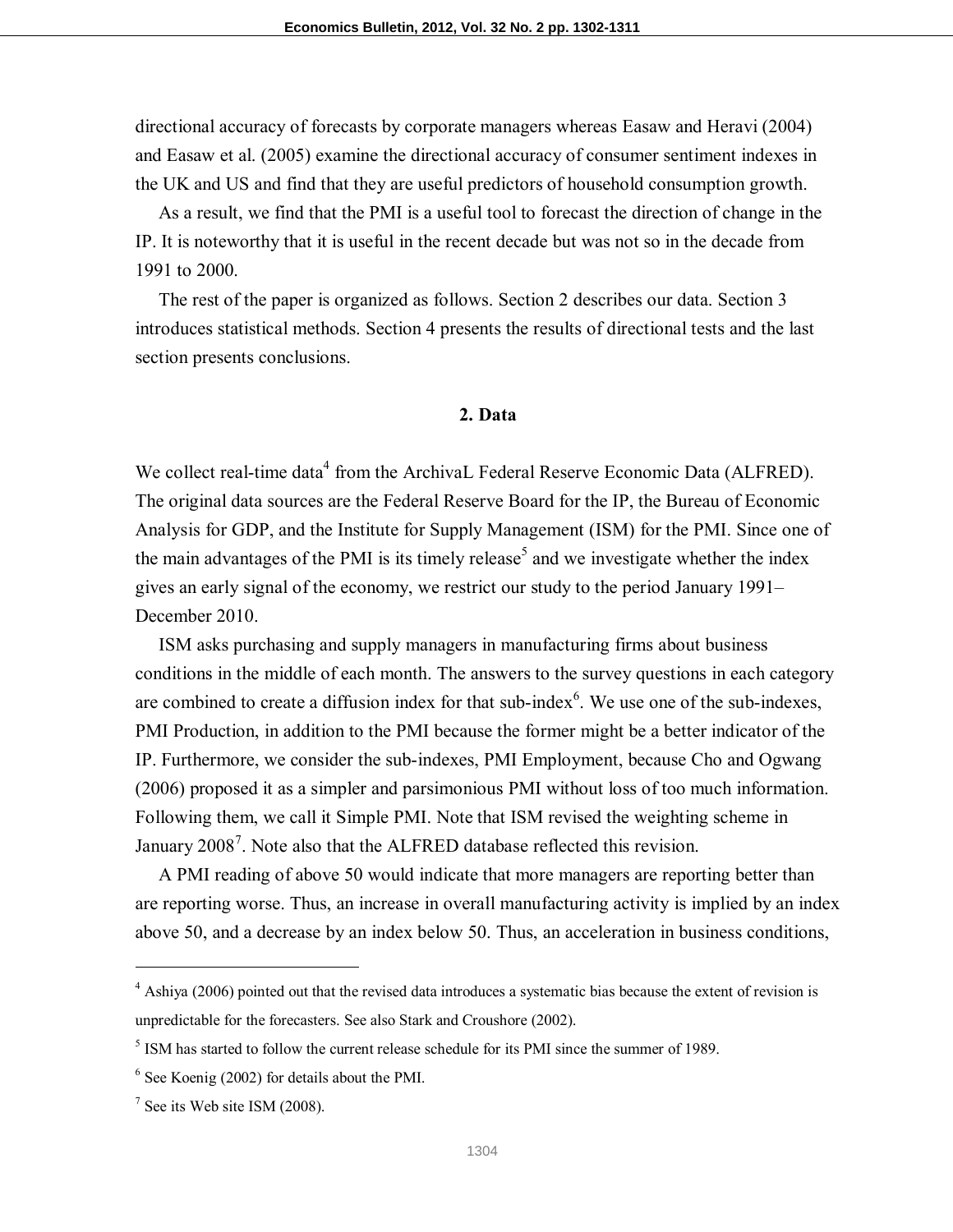directional accuracy of forecasts by corporate managers whereas Easaw and Heravi (2004) and Easaw et al. (2005) examine the directional accuracy of consumer sentiment indexes in the UK and US and find that they are useful predictors of household consumption growth.

 As a result, we find that the PMI is a useful tool to forecast the direction of change in the IP. It is noteworthy that it is useful in the recent decade but was not so in the decade from 1991 to 2000.

 The rest of the paper is organized as follows. Section 2 describes our data. Section 3 introduces statistical methods. Section 4 presents the results of directional tests and the last section presents conclusions.

#### **2. Data**

We collect real-time data<sup>4</sup> from the ArchivaL Federal Reserve Economic Data (ALFRED). The original data sources are the Federal Reserve Board for the IP, the Bureau of Economic Analysis for GDP, and the Institute for Supply Management (ISM) for the PMI. Since one of the main advantages of the PMI is its timely release<sup>5</sup> and we investigate whether the index gives an early signal of the economy, we restrict our study to the period January 1991– December 2010.

 ISM asks purchasing and supply managers in manufacturing firms about business conditions in the middle of each month. The answers to the survey questions in each category are combined to create a diffusion index for that sub-index $<sup>6</sup>$ . We use one of the sub-indexes,</sup> PMI Production, in addition to the PMI because the former might be a better indicator of the IP. Furthermore, we consider the sub-indexes, PMI Employment, because Cho and Ogwang (2006) proposed it as a simpler and parsimonious PMI without loss of too much information. Following them, we call it Simple PMI. Note that ISM revised the weighting scheme in January 2008<sup>7</sup>. Note also that the ALFRED database reflected this revision.

 A PMI reading of above 50 would indicate that more managers are reporting better than are reporting worse. Thus, an increase in overall manufacturing activity is implied by an index above 50, and a decrease by an index below 50. Thus, an acceleration in business conditions,

<u>.</u>

<sup>&</sup>lt;sup>4</sup> Ashiya (2006) pointed out that the revised data introduces a systematic bias because the extent of revision is unpredictable for the forecasters. See also Stark and Croushore (2002).

<sup>&</sup>lt;sup>5</sup> ISM has started to follow the current release schedule for its PMI since the summer of 1989.

<sup>6</sup> See Koenig (2002) for details about the PMI.

 $7$  See its Web site ISM (2008).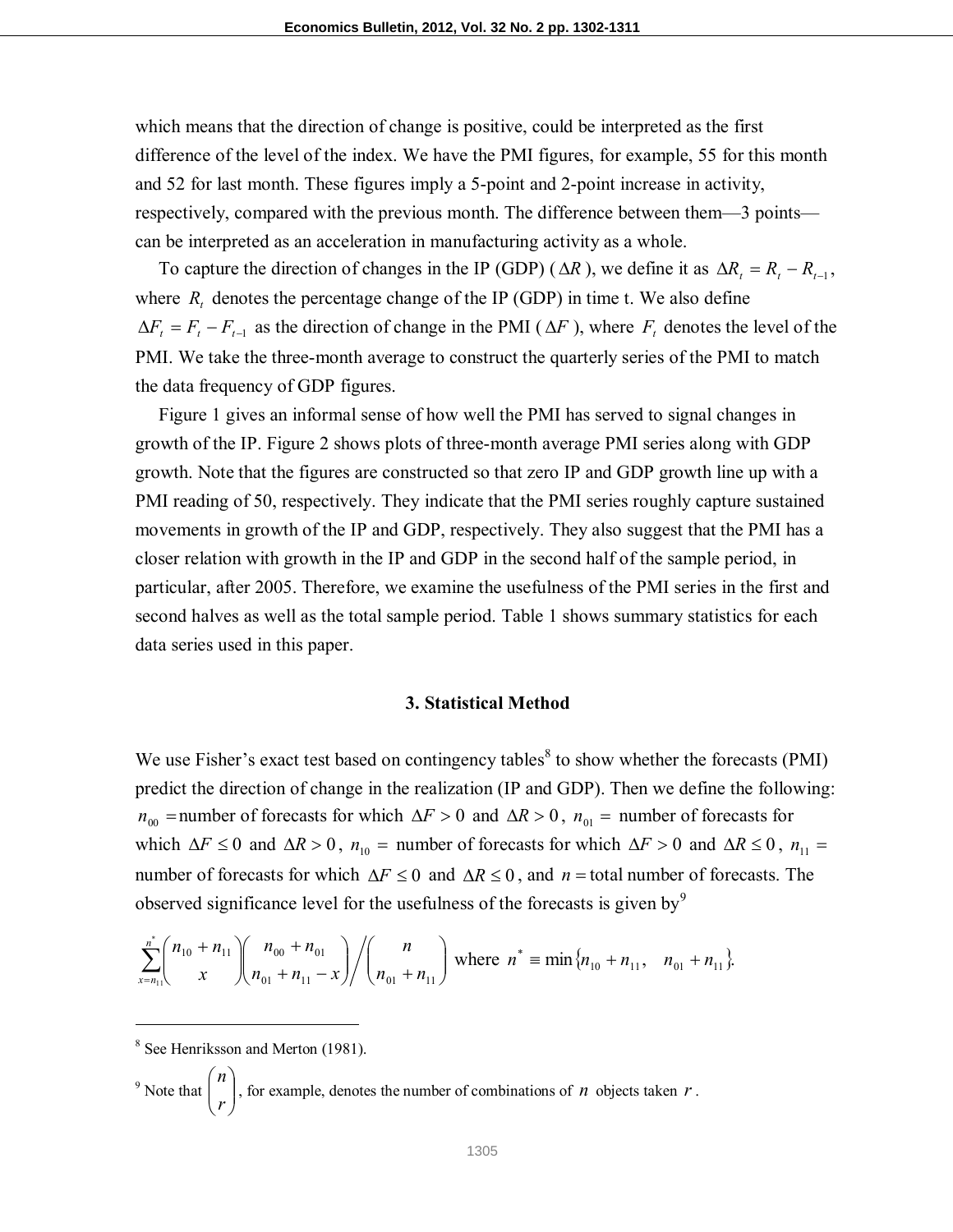which means that the direction of change is positive, could be interpreted as the first difference of the level of the index. We have the PMI figures, for example, 55 for this month and 52 for last month. These figures imply a 5-point and 2-point increase in activity, respectively, compared with the previous month. The difference between them—3 points can be interpreted as an acceleration in manufacturing activity as a whole.

To capture the direction of changes in the IP (GDP) ( $\Delta R$ ), we define it as  $\Delta R_t = R_t - R_{t-1}$ , where  $R_t$  denotes the percentage change of the IP (GDP) in time t. We also define  $\Delta F_t = F_t - F_{t-1}$  as the direction of change in the PMI ( $\Delta F$ ), where  $F_t$  denotes the level of the PMI. We take the three-month average to construct the quarterly series of the PMI to match the data frequency of GDP figures.

 Figure 1 gives an informal sense of how well the PMI has served to signal changes in growth of the IP. Figure 2 shows plots of three-month average PMI series along with GDP growth. Note that the figures are constructed so that zero IP and GDP growth line up with a PMI reading of 50, respectively. They indicate that the PMI series roughly capture sustained movements in growth of the IP and GDP, respectively. They also suggest that the PMI has a closer relation with growth in the IP and GDP in the second half of the sample period, in particular, after 2005. Therefore, we examine the usefulness of the PMI series in the first and second halves as well as the total sample period. Table 1 shows summary statistics for each data series used in this paper.

#### **3. Statistical Method**

We use Fisher's exact test based on contingency tables<sup>8</sup> to show whether the forecasts (PMI) predict the direction of change in the realization (IP and GDP). Then we define the following:  $n_{00}$  = number of forecasts for which  $\Delta F > 0$  and  $\Delta R > 0$ ,  $n_{01}$  = number of forecasts for which  $\Delta F \le 0$  and  $\Delta R > 0$ ,  $n_{10}$  = number of forecasts for which  $\Delta F > 0$  and  $\Delta R \le 0$ ,  $n_{11}$  = number of forecasts for which  $\Delta F \le 0$  and  $\Delta R \le 0$ , and *n* = total number of forecasts. The observed significance level for the usefulness of the forecasts is given by<sup>9</sup>

$$
\sum_{x=n_{11}}^{n^{*}} {n_{10}+n_{11} \choose x} {n_{00}+n_{01} \choose n_{01}+n_{11}-x} / {n \choose n_{01}+n_{11}} \text{ where } n^{*} \equiv \min\{n_{10}+n_{11}, n_{01}+n_{11}\}.
$$

-

<sup>9</sup> Note that 
$$
\binom{n}{r}
$$
, for example, denotes the number of combinations of *n* objects taken *r*.

<sup>&</sup>lt;sup>8</sup> See Henriksson and Merton (1981).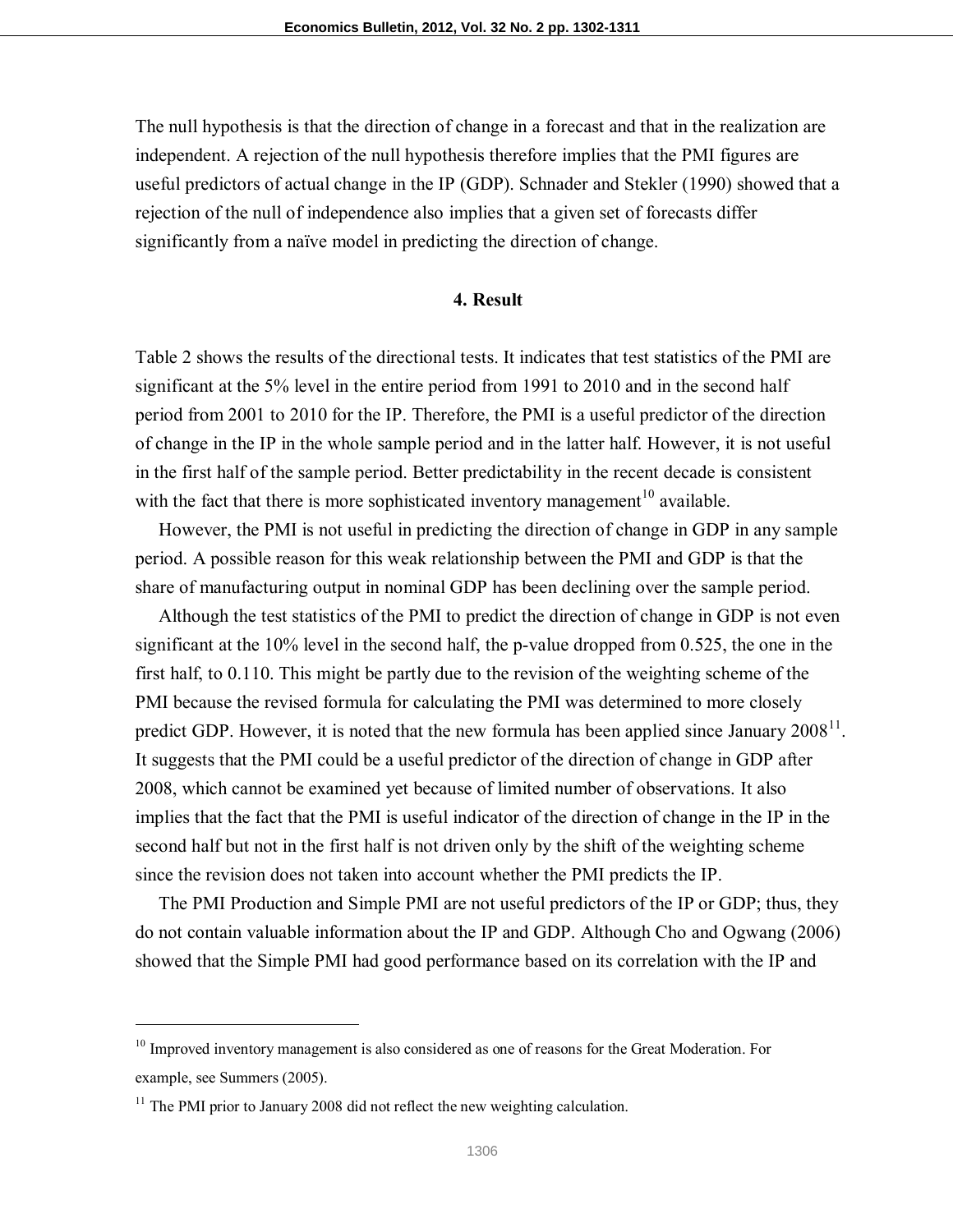The null hypothesis is that the direction of change in a forecast and that in the realization are independent. A rejection of the null hypothesis therefore implies that the PMI figures are useful predictors of actual change in the IP (GDP). Schnader and Stekler (1990) showed that a rejection of the null of independence also implies that a given set of forecasts differ significantly from a naïve model in predicting the direction of change.

#### **4. Result**

Table 2 shows the results of the directional tests. It indicates that test statistics of the PMI are significant at the 5% level in the entire period from 1991 to 2010 and in the second half period from 2001 to 2010 for the IP. Therefore, the PMI is a useful predictor of the direction of change in the IP in the whole sample period and in the latter half. However, it is not useful in the first half of the sample period. Better predictability in the recent decade is consistent with the fact that there is more sophisticated inventory management<sup>10</sup> available.

 However, the PMI is not useful in predicting the direction of change in GDP in any sample period. A possible reason for this weak relationship between the PMI and GDP is that the share of manufacturing output in nominal GDP has been declining over the sample period.

 Although the test statistics of the PMI to predict the direction of change in GDP is not even significant at the 10% level in the second half, the p-value dropped from 0.525, the one in the first half, to 0.110. This might be partly due to the revision of the weighting scheme of the PMI because the revised formula for calculating the PMI was determined to more closely predict GDP. However, it is noted that the new formula has been applied since January  $2008^{11}$ . It suggests that the PMI could be a useful predictor of the direction of change in GDP after 2008, which cannot be examined yet because of limited number of observations. It also implies that the fact that the PMI is useful indicator of the direction of change in the IP in the second half but not in the first half is not driven only by the shift of the weighting scheme since the revision does not taken into account whether the PMI predicts the IP.

 The PMI Production and Simple PMI are not useful predictors of the IP or GDP; thus, they do not contain valuable information about the IP and GDP. Although Cho and Ogwang (2006) showed that the Simple PMI had good performance based on its correlation with the IP and

-

 $10$  Improved inventory management is also considered as one of reasons for the Great Moderation. For example, see Summers (2005).

 $11$  The PMI prior to January 2008 did not reflect the new weighting calculation.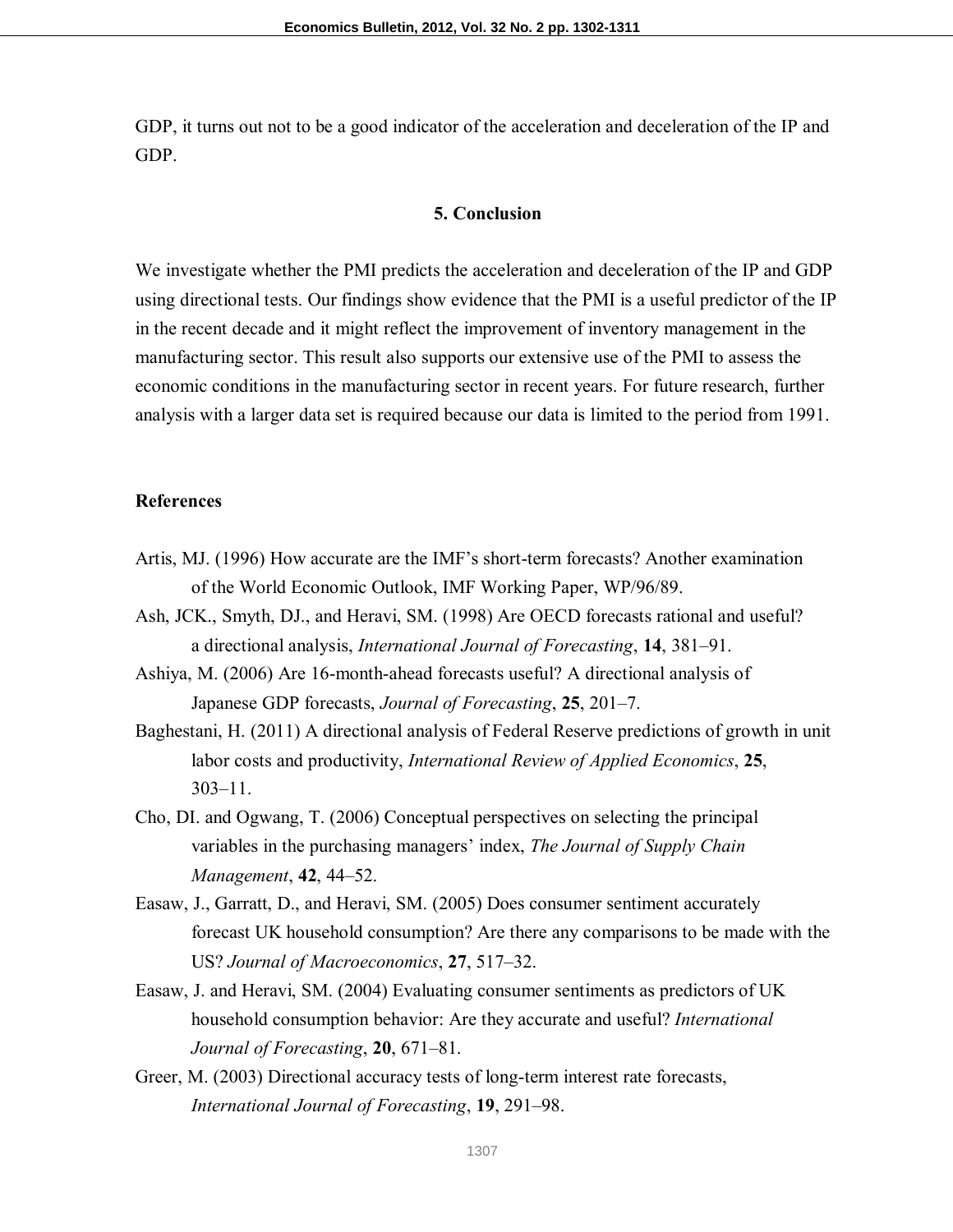GDP, it turns out not to be a good indicator of the acceleration and deceleration of the IP and GDP.

#### **5. Conclusion**

We investigate whether the PMI predicts the acceleration and deceleration of the IP and GDP using directional tests. Our findings show evidence that the PMI is a useful predictor of the IP in the recent decade and it might reflect the improvement of inventory management in the manufacturing sector. This result also supports our extensive use of the PMI to assess the economic conditions in the manufacturing sector in recent years. For future research, further analysis with a larger data set is required because our data is limited to the period from 1991.

#### **References**

- Artis, MJ. (1996) How accurate are the IMF's short-term forecasts? Another examination of the World Economic Outlook, IMF Working Paper, WP/96/89.
- Ash, JCK., Smyth, DJ., and Heravi, SM. (1998) Are OECD forecasts rational and useful? a directional analysis, *International Journal of Forecasting*, **14**, 381–91.
- Ashiya, M. (2006) Are 16-month-ahead forecasts useful? A directional analysis of Japanese GDP forecasts, *Journal of Forecasting*, **25**, 201–7.
- Baghestani, H. (2011) A directional analysis of Federal Reserve predictions of growth in unit labor costs and productivity, *International Review of Applied Economics*, **25**, 303–11.
- Cho, DI. and Ogwang, T. (2006) Conceptual perspectives on selecting the principal variables in the purchasing managers' index, *The Journal of Supply Chain Management*, **42**, 44–52.
- Easaw, J., Garratt, D., and Heravi, SM. (2005) Does consumer sentiment accurately forecast UK household consumption? Are there any comparisons to be made with the US? *Journal of Macroeconomics*, **27**, 517–32.
- Easaw, J. and Heravi, SM. (2004) Evaluating consumer sentiments as predictors of UK household consumption behavior: Are they accurate and useful? *International Journal of Forecasting*, **20**, 671–81.
- Greer, M. (2003) Directional accuracy tests of long-term interest rate forecasts, *International Journal of Forecasting*, **19**, 291–98.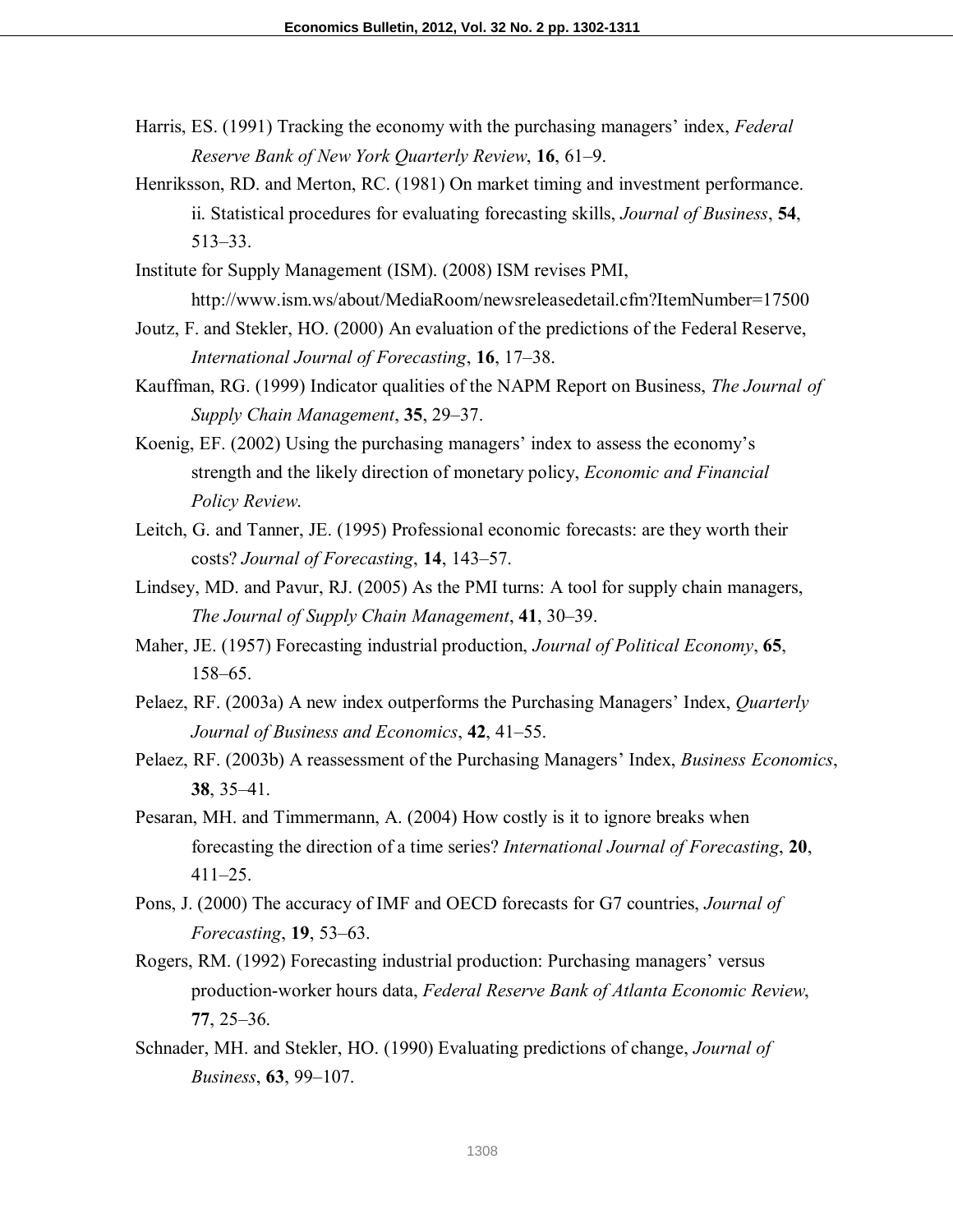- Harris, ES. (1991) Tracking the economy with the purchasing managers' index, *Federal Reserve Bank of New York Quarterly Review*, **16**, 61–9.
- Henriksson, RD. and Merton, RC. (1981) On market timing and investment performance. ii. Statistical procedures for evaluating forecasting skills, *Journal of Business*, **54**, 513–33.
- Institute for Supply Management (ISM). (2008) ISM revises PMI, http://www.ism.ws/about/MediaRoom/newsreleasedetail.cfm?ItemNumber=17500
- Joutz, F. and Stekler, HO. (2000) An evaluation of the predictions of the Federal Reserve, *International Journal of Forecasting*, **16**, 17–38.
- Kauffman, RG. (1999) Indicator qualities of the NAPM Report on Business, *The Journal of Supply Chain Management*, **35**, 29–37.
- Koenig, EF. (2002) Using the purchasing managers' index to assess the economy's strength and the likely direction of monetary policy, *Economic and Financial Policy Review*.
- Leitch, G. and Tanner, JE. (1995) Professional economic forecasts: are they worth their costs? *Journal of Forecasting*, **14**, 143–57.
- Lindsey, MD. and Pavur, RJ. (2005) As the PMI turns: A tool for supply chain managers, *The Journal of Supply Chain Management*, **41**, 30–39.
- Maher, JE. (1957) Forecasting industrial production, *Journal of Political Economy*, **65**, 158–65.
- Pelaez, RF. (2003a) A new index outperforms the Purchasing Managers' Index, *Quarterly Journal of Business and Economics*, **42**, 41–55.
- Pelaez, RF. (2003b) A reassessment of the Purchasing Managers' Index, *Business Economics*, **38**, 35–41.
- Pesaran, MH. and Timmermann, A. (2004) How costly is it to ignore breaks when forecasting the direction of a time series? *International Journal of Forecasting*, **20**, 411–25.
- Pons, J. (2000) The accuracy of IMF and OECD forecasts for G7 countries, *Journal of Forecasting*, **19**, 53–63.
- Rogers, RM. (1992) Forecasting industrial production: Purchasing managers' versus production-worker hours data, *Federal Reserve Bank of Atlanta Economic Review*, **77**, 25–36.
- Schnader, MH. and Stekler, HO. (1990) Evaluating predictions of change, *Journal of Business*, **63**, 99–107.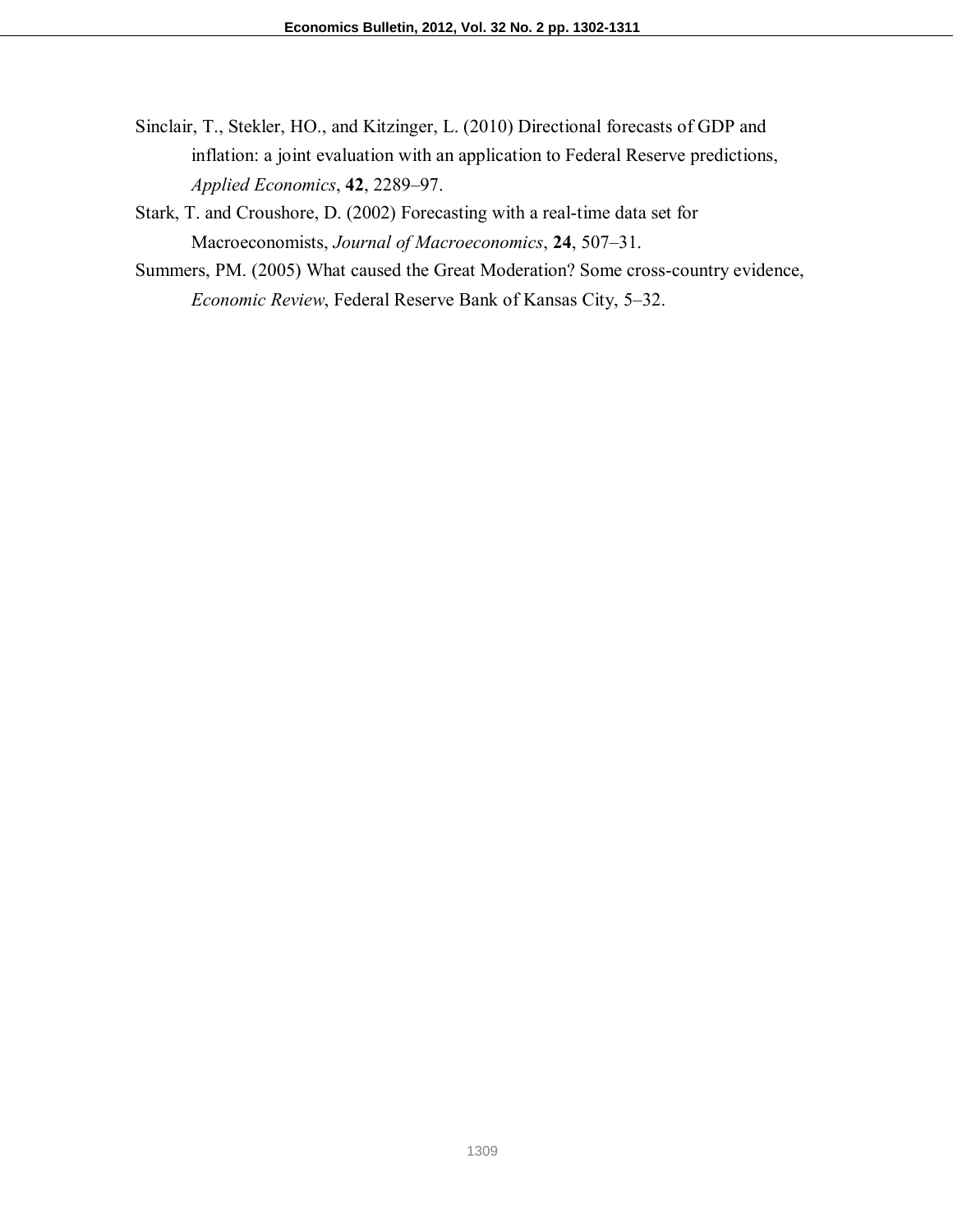Sinclair, T., Stekler, HO., and Kitzinger, L. (2010) Directional forecasts of GDP and inflation: a joint evaluation with an application to Federal Reserve predictions, *Applied Economics*, **42**, 2289–97.

Stark, T. and Croushore, D. (2002) Forecasting with a real-time data set for Macroeconomists, *Journal of Macroeconomics*, **24**, 507–31.

Summers, PM. (2005) What caused the Great Moderation? Some cross-country evidence, *Economic Review*, Federal Reserve Bank of Kansas City, 5–32.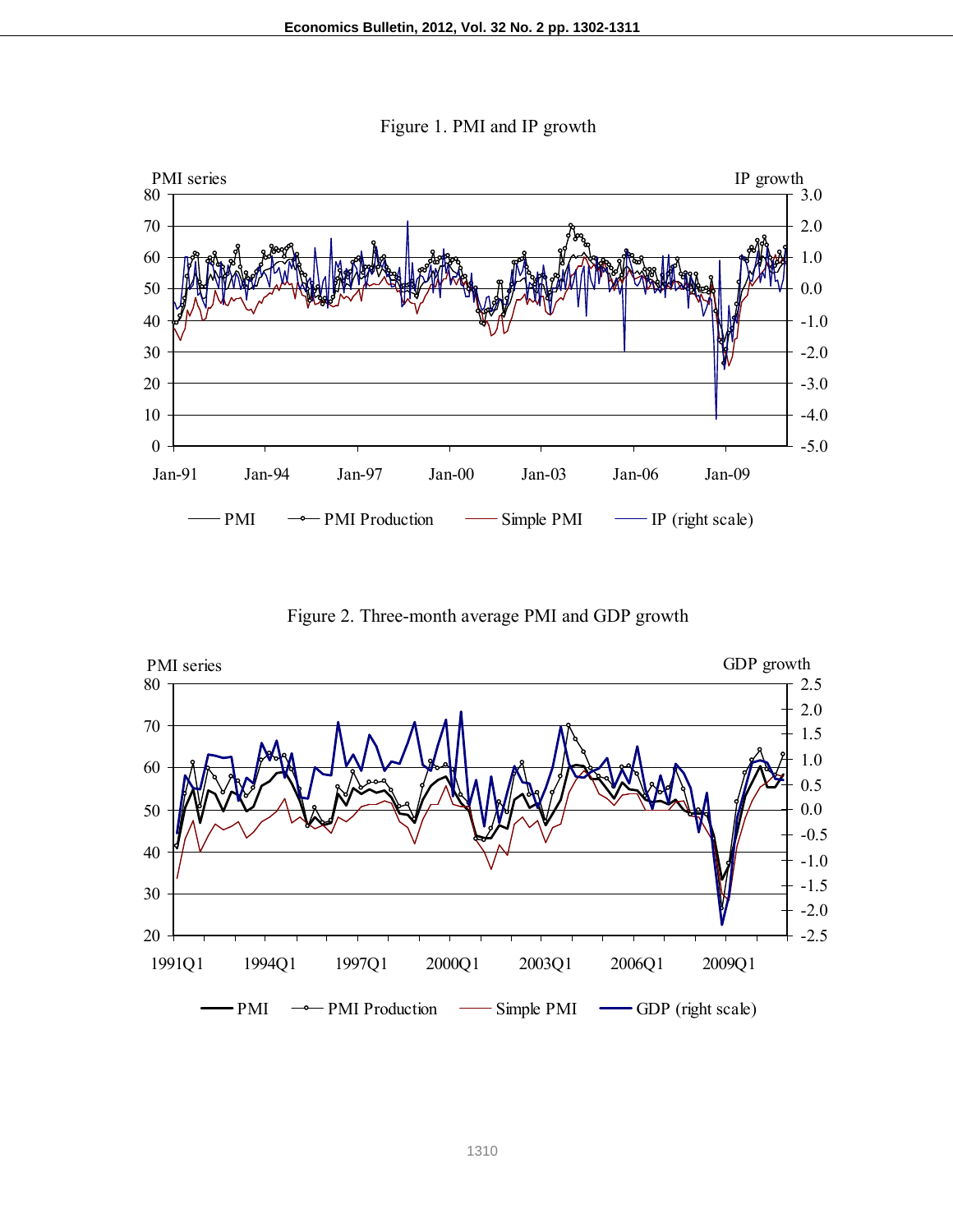



Figure 2. Three-month average PMI and GDP growth